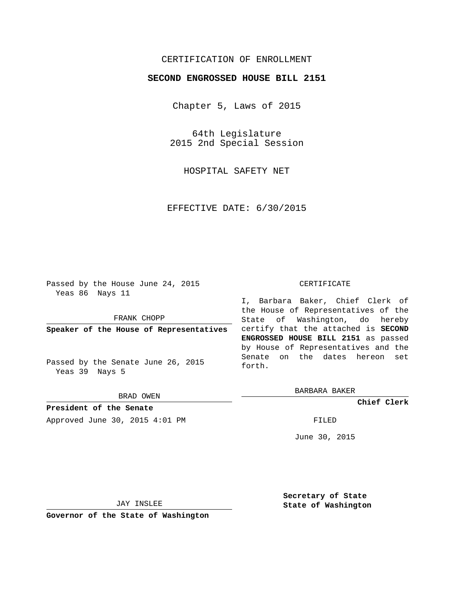## CERTIFICATION OF ENROLLMENT

## **SECOND ENGROSSED HOUSE BILL 2151**

Chapter 5, Laws of 2015

64th Legislature 2015 2nd Special Session

HOSPITAL SAFETY NET

EFFECTIVE DATE: 6/30/2015

Passed by the House June 24, 2015 Yeas 86 Nays 11

FRANK CHOPP

**Speaker of the House of Representatives**

Passed by the Senate June 26, 2015 Yeas 39 Nays 5

BRAD OWEN

**President of the Senate** Approved June 30, 2015 4:01 PM FILED

## CERTIFICATE

I, Barbara Baker, Chief Clerk of the House of Representatives of the State of Washington, do hereby certify that the attached is **SECOND ENGROSSED HOUSE BILL 2151** as passed by House of Representatives and the Senate on the dates hereon set forth.

BARBARA BAKER

**Chief Clerk**

June 30, 2015

JAY INSLEE

**Governor of the State of Washington**

**Secretary of State State of Washington**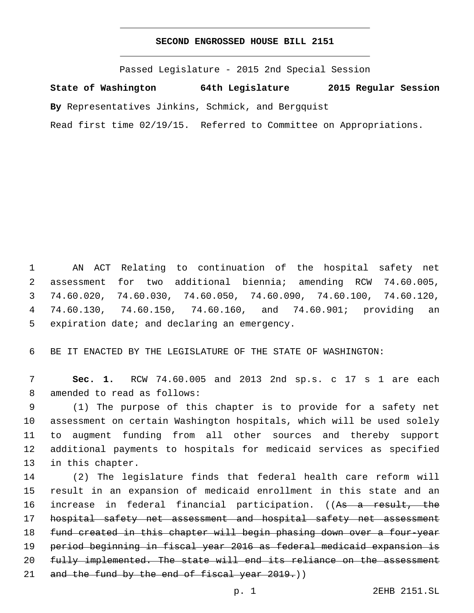## **SECOND ENGROSSED HOUSE BILL 2151**

Passed Legislature - 2015 2nd Special Session

**State of Washington 64th Legislature 2015 Regular Session**

**By** Representatives Jinkins, Schmick, and Bergquist

Read first time 02/19/15. Referred to Committee on Appropriations.

 AN ACT Relating to continuation of the hospital safety net assessment for two additional biennia; amending RCW 74.60.005, 74.60.020, 74.60.030, 74.60.050, 74.60.090, 74.60.100, 74.60.120, 74.60.130, 74.60.150, 74.60.160, and 74.60.901; providing an 5 expiration date; and declaring an emergency.

6 BE IT ENACTED BY THE LEGISLATURE OF THE STATE OF WASHINGTON:

7 **Sec. 1.** RCW 74.60.005 and 2013 2nd sp.s. c 17 s 1 are each 8 amended to read as follows:

 (1) The purpose of this chapter is to provide for a safety net assessment on certain Washington hospitals, which will be used solely to augment funding from all other sources and thereby support additional payments to hospitals for medicaid services as specified 13 in this chapter.

 (2) The legislature finds that federal health care reform will result in an expansion of medicaid enrollment in this state and an 16 increase in federal financial participation. ((As a result, the hospital safety net assessment and hospital safety net assessment fund created in this chapter will begin phasing down over a four-year period beginning in fiscal year 2016 as federal medicaid expansion is 20 fully implemented. The state will end its reliance on the assessment 21 and the fund by the end of fiscal year 2019.)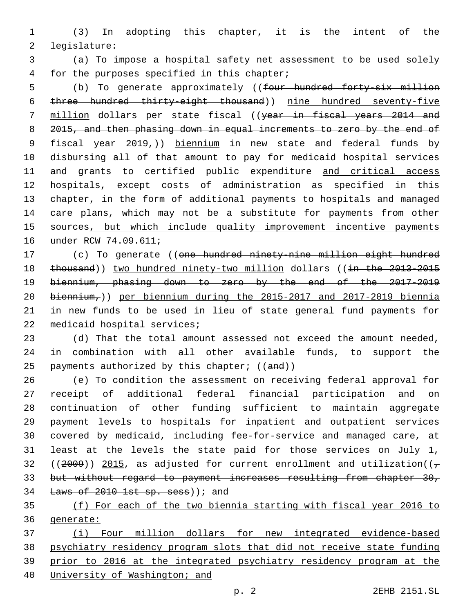(3) In adopting this chapter, it is the intent of the 2 legislature:

 (a) To impose a hospital safety net assessment to be used solely 4 for the purposes specified in this chapter;

5 (b) To generate approximately ((four hundred forty-six million three hundred thirty-eight thousand)) nine hundred seventy-five 7 million dollars per state fiscal ((year in fiscal years 2014 and 2015, and then phasing down in equal increments to zero by the end of 9 fiscal year 2019,)) biennium in new state and federal funds by disbursing all of that amount to pay for medicaid hospital services 11 and grants to certified public expenditure and critical access hospitals, except costs of administration as specified in this chapter, in the form of additional payments to hospitals and managed care plans, which may not be a substitute for payments from other 15 sources, but which include quality improvement incentive payments 16 under RCW 74.09.611;

17 (c) To generate ((one hundred ninety-nine million eight hundred 18 thousand)) two hundred ninety-two million dollars ((in the 2013-2015 biennium, phasing down to zero by the end of the 2017-2019 biennium,)) per biennium during the 2015-2017 and 2017-2019 biennia in new funds to be used in lieu of state general fund payments for 22 medicaid hospital services;

 (d) That the total amount assessed not exceed the amount needed, in combination with all other available funds, to support the 25 payments authorized by this chapter;  $((and))$ 

 (e) To condition the assessment on receiving federal approval for receipt of additional federal financial participation and on continuation of other funding sufficient to maintain aggregate payment levels to hospitals for inpatient and outpatient services covered by medicaid, including fee-for-service and managed care, at least at the levels the state paid for those services on July 1, 32 ((2009)) 2015, as adjusted for current enrollment and utilization( $(\tau$  but without regard to payment increases resulting from chapter 30, 34 Laws of 1st sp. sess)  $i$  and

 (f) For each of the two biennia starting with fiscal year 2016 to generate:

 (i) Four million dollars for new integrated evidence-based psychiatry residency program slots that did not receive state funding prior to 2016 at the integrated psychiatry residency program at the University of Washington; and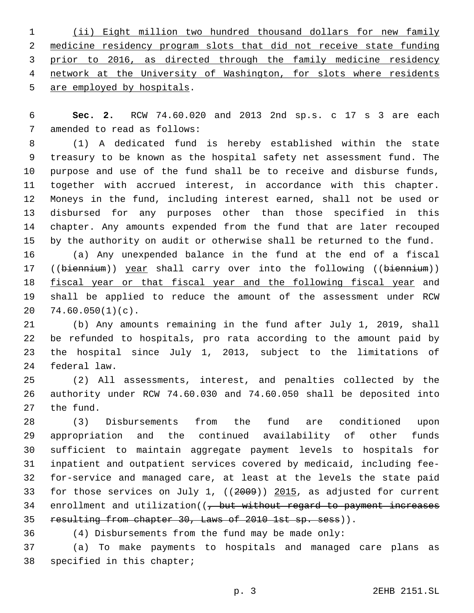(ii) Eight million two hundred thousand dollars for new family medicine residency program slots that did not receive state funding prior to 2016, as directed through the family medicine residency network at the University of Washington, for slots where residents 5 are employed by hospitals.

 **Sec. 2.** RCW 74.60.020 and 2013 2nd sp.s. c 17 s 3 are each 7 amended to read as follows:

 (1) A dedicated fund is hereby established within the state treasury to be known as the hospital safety net assessment fund. The purpose and use of the fund shall be to receive and disburse funds, together with accrued interest, in accordance with this chapter. Moneys in the fund, including interest earned, shall not be used or disbursed for any purposes other than those specified in this chapter. Any amounts expended from the fund that are later recouped by the authority on audit or otherwise shall be returned to the fund. (a) Any unexpended balance in the fund at the end of a fiscal 17 ((biennium)) year shall carry over into the following ((biennium))

18 fiscal year or that fiscal year and the following fiscal year and shall be applied to reduce the amount of the assessment under RCW  $74.60.050(1)(c)$ .

 (b) Any amounts remaining in the fund after July 1, 2019, shall be refunded to hospitals, pro rata according to the amount paid by the hospital since July 1, 2013, subject to the limitations of 24 federal law.

 (2) All assessments, interest, and penalties collected by the authority under RCW 74.60.030 and 74.60.050 shall be deposited into 27 the fund.

 (3) Disbursements from the fund are conditioned upon appropriation and the continued availability of other funds sufficient to maintain aggregate payment levels to hospitals for inpatient and outpatient services covered by medicaid, including fee- for-service and managed care, at least at the levels the state paid for those services on July 1, ((2009)) 2015, as adjusted for current 34 enrollment and utilization((, but without regard to payment increases 35 resulting from chapter 30, Laws of 2010 1st sp. sess)).

(4) Disbursements from the fund may be made only:

 (a) To make payments to hospitals and managed care plans as 38 specified in this chapter;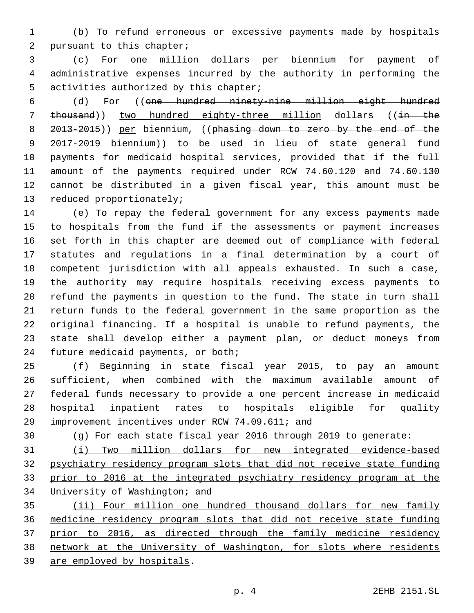(b) To refund erroneous or excessive payments made by hospitals 2 pursuant to this chapter;

 (c) For one million dollars per biennium for payment of administrative expenses incurred by the authority in performing the 5 activities authorized by this chapter;

 (d) For ((one hundred ninety-nine million eight hundred 7 thousand)) two hundred eighty-three million dollars ((in the 8 2013-2015)) per biennium, ((phasing down to zero by the end of the 2017-2019 biennium)) to be used in lieu of state general fund payments for medicaid hospital services, provided that if the full amount of the payments required under RCW 74.60.120 and 74.60.130 cannot be distributed in a given fiscal year, this amount must be 13 reduced proportionately;

 (e) To repay the federal government for any excess payments made to hospitals from the fund if the assessments or payment increases set forth in this chapter are deemed out of compliance with federal statutes and regulations in a final determination by a court of competent jurisdiction with all appeals exhausted. In such a case, the authority may require hospitals receiving excess payments to refund the payments in question to the fund. The state in turn shall return funds to the federal government in the same proportion as the original financing. If a hospital is unable to refund payments, the state shall develop either a payment plan, or deduct moneys from 24 future medicaid payments, or both;

 (f) Beginning in state fiscal year 2015, to pay an amount sufficient, when combined with the maximum available amount of federal funds necessary to provide a one percent increase in medicaid hospital inpatient rates to hospitals eligible for quality improvement incentives under RCW 74.09.611; and

(g) For each state fiscal year 2016 through 2019 to generate:

 (i) Two million dollars for new integrated evidence-based psychiatry residency program slots that did not receive state funding prior to 2016 at the integrated psychiatry residency program at the University of Washington; and

 (ii) Four million one hundred thousand dollars for new family medicine residency program slots that did not receive state funding 37 prior to 2016, as directed through the family medicine residency network at the University of Washington, for slots where residents 39 are employed by hospitals.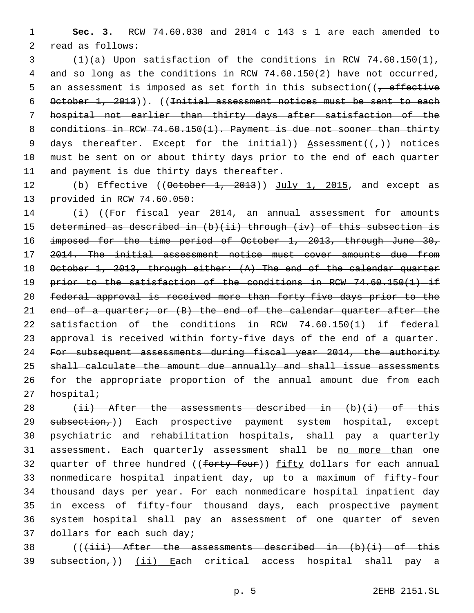1 **Sec. 3.** RCW 74.60.030 and 2014 c 143 s 1 are each amended to 2 read as follows:

3 (1)(a) Upon satisfaction of the conditions in RCW 74.60.150(1), 4 and so long as the conditions in RCW 74.60.150(2) have not occurred, 5 an assessment is imposed as set forth in this subsection( $\frac{1}{f}$  effective 6 October 1, 2013)). ((Initial assessment notices must be sent to each 7 hospital not earlier than thirty days after satisfaction of the 8 conditions in RCW 74.60.150(1). Payment is due not sooner than thirty 9 days thereafter. Except for the initial)) Assessment( $(\tau)$ ) notices 10 must be sent on or about thirty days prior to the end of each quarter 11 and payment is due thirty days thereafter.

12 (b) Effective ((October 1, 2013)) July 1, 2015, and except as 13 provided in RCW 74.60.050:

14 (i) ((For fiscal year 2014, an annual assessment for amounts 15 determined as described in (b)(ii) through (iv) of this subsection is 16 imposed for the time period of October 1, 2013, through June 30, 17 2014. The initial assessment notice must cover amounts due from 18 October 1, 2013, through either: (A) The end of the calendar quarter 19 prior to the satisfaction of the conditions in RCW 74.60.150(1) if 20 federal approval is received more than forty-five days prior to the 21 end of a quarter; or (B) the end of the calendar quarter after the 22 satisfaction of the conditions in RCW 74.60.150(1) if federal 23 approval is received within forty-five days of the end of a quarter. 24 For subsequent assessments during fiscal year 2014, the authority 25 shall calculate the amount due annually and shall issue assessments 26 for the appropriate proportion of the annual amount due from each  $27$  hospital;

28  $(iii)$  After the assessments described in  $(b)(i)$  of this 29 subsection,)) Each prospective payment system hospital, except 30 psychiatric and rehabilitation hospitals, shall pay a quarterly 31 assessment. Each quarterly assessment shall be no more than one 32 quarter of three hundred ((forty-four)) fifty dollars for each annual 33 nonmedicare hospital inpatient day, up to a maximum of fifty-four 34 thousand days per year. For each nonmedicare hospital inpatient day 35 in excess of fifty-four thousand days, each prospective payment 36 system hospital shall pay an assessment of one quarter of seven 37 dollars for each such day;

38  $((\{\text{iii}\})$  After the assessments described in  $(b)(i)$  of this 39 subsection,)) (ii) Each critical access hospital shall pay a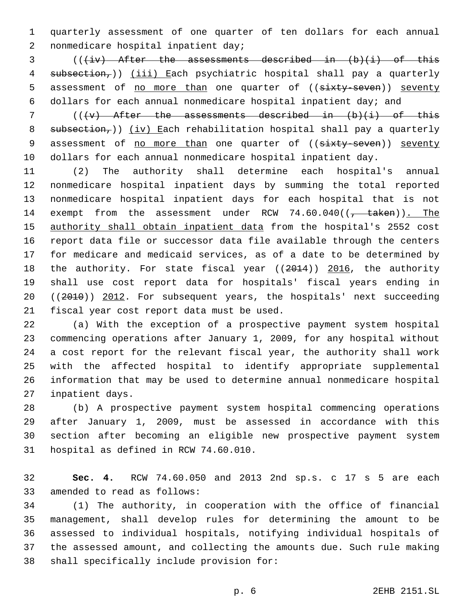1 quarterly assessment of one quarter of ten dollars for each annual 2 nonmedicare hospital inpatient day;

 $3$  (( $\pm i v$ ) After the assessments described in  $(b)$ (i) of this 4 subsection,)) (iii) Each psychiatric hospital shall pay a quarterly 5 assessment of no more than one quarter of ((sixty-seven)) seventy 6 dollars for each annual nonmedicare hospital inpatient day; and

7 ( $(\forall v)$  After the assessments described in  $(b)(i)$  of this 8  $subsection<sub>r</sub>)$ ) (iv) Each rehabilitation hospital shall pay a quarterly 9 assessment of no more than one quarter of ((sixty-seven)) seventy 10 dollars for each annual nonmedicare hospital inpatient day.

11 (2) The authority shall determine each hospital's annual 12 nonmedicare hospital inpatient days by summing the total reported 13 nonmedicare hospital inpatient days for each hospital that is not 14 exempt from the assessment under RCW 74.60.040(( $\frac{1}{1 + \text{taken}}$ ). The 15 authority shall obtain inpatient data from the hospital's 2552 cost 16 report data file or successor data file available through the centers 17 for medicare and medicaid services, as of a date to be determined by 18 the authority. For state fiscal year ((2014)) 2016, the authority 19 shall use cost report data for hospitals' fiscal years ending in 20 ((2010)) 2012. For subsequent years, the hospitals' next succeeding 21 fiscal year cost report data must be used.

 (a) With the exception of a prospective payment system hospital commencing operations after January 1, 2009, for any hospital without a cost report for the relevant fiscal year, the authority shall work with the affected hospital to identify appropriate supplemental information that may be used to determine annual nonmedicare hospital 27 inpatient days.

 (b) A prospective payment system hospital commencing operations after January 1, 2009, must be assessed in accordance with this section after becoming an eligible new prospective payment system 31 hospital as defined in RCW 74.60.010.

32 **Sec. 4.** RCW 74.60.050 and 2013 2nd sp.s. c 17 s 5 are each 33 amended to read as follows:

 (1) The authority, in cooperation with the office of financial management, shall develop rules for determining the amount to be assessed to individual hospitals, notifying individual hospitals of the assessed amount, and collecting the amounts due. Such rule making 38 shall specifically include provision for: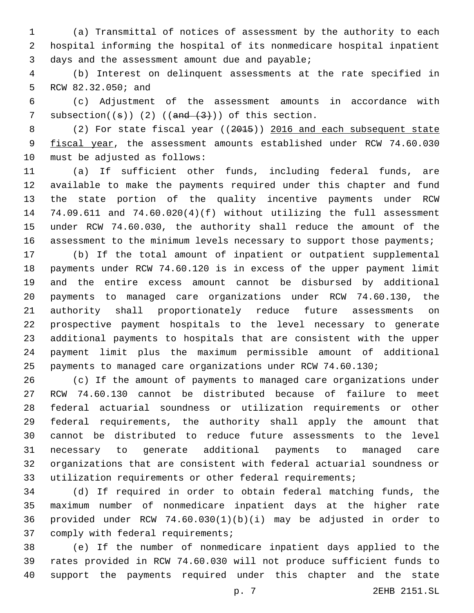(a) Transmittal of notices of assessment by the authority to each hospital informing the hospital of its nonmedicare hospital inpatient 3 days and the assessment amount due and payable;

 (b) Interest on delinquent assessments at the rate specified in 5 RCW 82.32.050; and

 (c) Adjustment of the assessment amounts in accordance with 7 subsection( $(\theta)$ ) (2) ( $(\theta)$  ( $(\theta)$ )) of this section.

8 (2) For state fiscal year ((2015)) 2016 and each subsequent state 9 fiscal year, the assessment amounts established under RCW 74.60.030 10 must be adjusted as follows:

 (a) If sufficient other funds, including federal funds, are available to make the payments required under this chapter and fund the state portion of the quality incentive payments under RCW 74.09.611 and 74.60.020(4)(f) without utilizing the full assessment under RCW 74.60.030, the authority shall reduce the amount of the 16 assessment to the minimum levels necessary to support those payments;

 (b) If the total amount of inpatient or outpatient supplemental payments under RCW 74.60.120 is in excess of the upper payment limit and the entire excess amount cannot be disbursed by additional payments to managed care organizations under RCW 74.60.130, the authority shall proportionately reduce future assessments on prospective payment hospitals to the level necessary to generate additional payments to hospitals that are consistent with the upper payment limit plus the maximum permissible amount of additional payments to managed care organizations under RCW 74.60.130;

 (c) If the amount of payments to managed care organizations under RCW 74.60.130 cannot be distributed because of failure to meet federal actuarial soundness or utilization requirements or other federal requirements, the authority shall apply the amount that cannot be distributed to reduce future assessments to the level necessary to generate additional payments to managed care organizations that are consistent with federal actuarial soundness or utilization requirements or other federal requirements;

 (d) If required in order to obtain federal matching funds, the maximum number of nonmedicare inpatient days at the higher rate provided under RCW 74.60.030(1)(b)(i) may be adjusted in order to 37 comply with federal requirements;

 (e) If the number of nonmedicare inpatient days applied to the rates provided in RCW 74.60.030 will not produce sufficient funds to support the payments required under this chapter and the state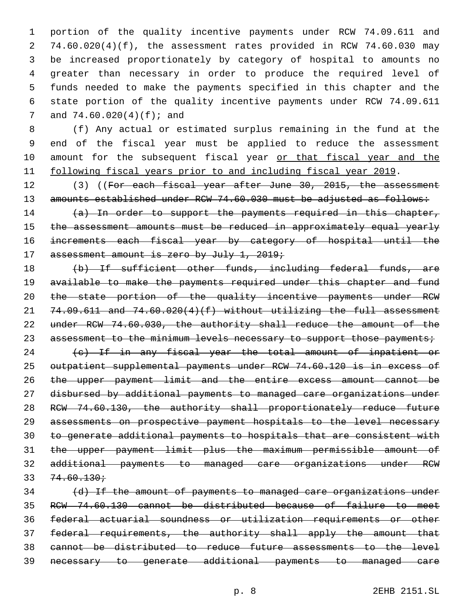portion of the quality incentive payments under RCW 74.09.611 and 74.60.020(4)(f), the assessment rates provided in RCW 74.60.030 may be increased proportionately by category of hospital to amounts no greater than necessary in order to produce the required level of funds needed to make the payments specified in this chapter and the state portion of the quality incentive payments under RCW 74.09.611 7 and  $74.60.020(4)(f)$ ; and

 (f) Any actual or estimated surplus remaining in the fund at the end of the fiscal year must be applied to reduce the assessment 10 amount for the subsequent fiscal year or that fiscal year and the 11 following fiscal years prior to and including fiscal year 2019.

12 (3) ((For each fiscal year after June 30, 2015, the assessment 13 amounts established under RCW 74.60.030 must be adjusted as follows:

14 (a) In order to support the payments required in this chapter, 15 the assessment amounts must be reduced in approximately equal yearly increments each fiscal year by category of hospital until the 17 assessment amount is zero by July 1, 2019;

 (b) If sufficient other funds, including federal funds, are 19 available to make the payments required under this chapter and fund the state portion of the quality incentive payments under RCW  $74.09.611$  and  $74.60.020(4)(f)$  without utilizing the full assessment under RCW 74.60.030, the authority shall reduce the amount of the 23 assessment to the minimum levels necessary to support those payments;

24 (c) If in any fiscal year the total amount of inpatient or outpatient supplemental payments under RCW 74.60.120 is in excess of the upper payment limit and the entire excess amount cannot be disbursed by additional payments to managed care organizations under RCW 74.60.130, the authority shall proportionately reduce future assessments on prospective payment hospitals to the level necessary to generate additional payments to hospitals that are consistent with the upper payment limit plus the maximum permissible amount of additional payments to managed care organizations under RCW  $33 \quad 74.60.130 \cdot$ 

 (d) If the amount of payments to managed care organizations under RCW 74.60.130 cannot be distributed because of failure to meet federal actuarial soundness or utilization requirements or other federal requirements, the authority shall apply the amount that cannot be distributed to reduce future assessments to the level necessary to generate additional payments to managed care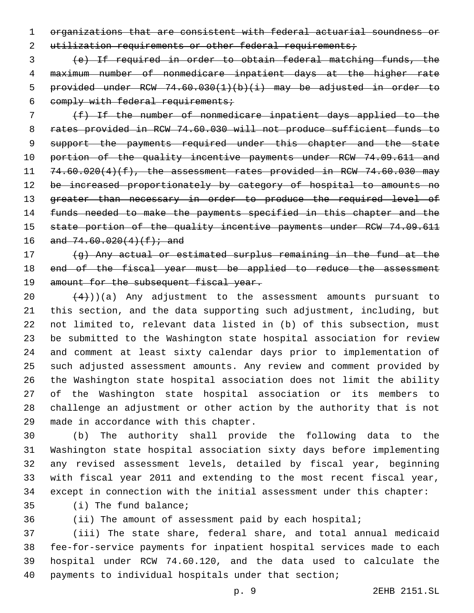organizations that are consistent with federal actuarial soundness or 2 utilization requirements or other federal requirements;

 (e) If required in order to obtain federal matching funds, the maximum number of nonmedicare inpatient days at the higher rate provided under RCW 74.60.030(1)(b)(i) may be adjusted in order to 6 comply with federal requirements;

 (f) If the number of nonmedicare inpatient days applied to the rates provided in RCW 74.60.030 will not produce sufficient funds to 9 support the payments required under this chapter and the state 10 portion of the quality incentive payments under RCW 74.09.611 and  $74.60.020(4)(f)$ , the assessment rates provided in RCW 74.60.030 may 12 be increased proportionately by category of hospital to amounts no 13 greater than necessary in order to produce the required level of 14 funds needed to make the payments specified in this chapter and the 15 state portion of the quality incentive payments under RCW 74.09.611 16 and  $74.60.020(4)(f)$ ; and

 (g) Any actual or estimated surplus remaining in the fund at the 18 end of the fiscal year must be applied to reduce the assessment 19 amount for the subsequent fiscal year.

 $(4)$ ))(a) Any adjustment to the assessment amounts pursuant to this section, and the data supporting such adjustment, including, but not limited to, relevant data listed in (b) of this subsection, must be submitted to the Washington state hospital association for review and comment at least sixty calendar days prior to implementation of such adjusted assessment amounts. Any review and comment provided by the Washington state hospital association does not limit the ability of the Washington state hospital association or its members to challenge an adjustment or other action by the authority that is not 29 made in accordance with this chapter.

 (b) The authority shall provide the following data to the Washington state hospital association sixty days before implementing any revised assessment levels, detailed by fiscal year, beginning with fiscal year 2011 and extending to the most recent fiscal year, except in connection with the initial assessment under this chapter:

35 (i) The fund balance;

(ii) The amount of assessment paid by each hospital;

 (iii) The state share, federal share, and total annual medicaid fee-for-service payments for inpatient hospital services made to each hospital under RCW 74.60.120, and the data used to calculate the payments to individual hospitals under that section;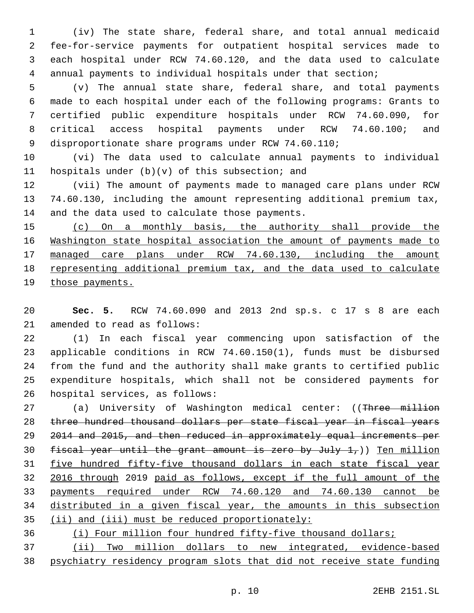(iv) The state share, federal share, and total annual medicaid fee-for-service payments for outpatient hospital services made to each hospital under RCW 74.60.120, and the data used to calculate annual payments to individual hospitals under that section;

 (v) The annual state share, federal share, and total payments made to each hospital under each of the following programs: Grants to certified public expenditure hospitals under RCW 74.60.090, for critical access hospital payments under RCW 74.60.100; and disproportionate share programs under RCW 74.60.110;

 (vi) The data used to calculate annual payments to individual 11 hospitals under  $(b)(v)$  of this subsection; and

 (vii) The amount of payments made to managed care plans under RCW 74.60.130, including the amount representing additional premium tax, 14 and the data used to calculate those payments.

 (c) On a monthly basis, the authority shall provide the Washington state hospital association the amount of payments made to managed care plans under RCW 74.60.130, including the amount representing additional premium tax, and the data used to calculate 19 those payments.

 **Sec. 5.** RCW 74.60.090 and 2013 2nd sp.s. c 17 s 8 are each 21 amended to read as follows:

 (1) In each fiscal year commencing upon satisfaction of the applicable conditions in RCW 74.60.150(1), funds must be disbursed from the fund and the authority shall make grants to certified public expenditure hospitals, which shall not be considered payments for 26 hospital services, as follows:

27 (a) University of Washington medical center: ((Three million three hundred thousand dollars per state fiscal year in fiscal years 2014 and 2015, and then reduced in approximately equal increments per 30 fiscal year until the grant amount is zero by July  $1,$ )) Ten million five hundred fifty-five thousand dollars in each state fiscal year 2016 through 2019 paid as follows, except if the full amount of the payments required under RCW 74.60.120 and 74.60.130 cannot be distributed in a given fiscal year, the amounts in this subsection (ii) and (iii) must be reduced proportionately:

(i) Four million four hundred fifty-five thousand dollars;

 (ii) Two million dollars to new integrated, evidence-based psychiatry residency program slots that did not receive state funding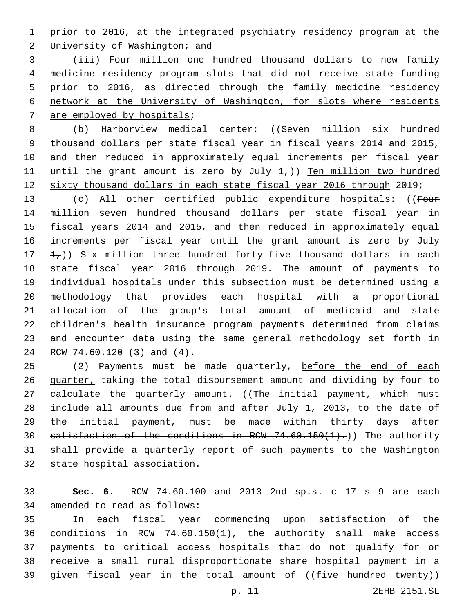prior to 2016, at the integrated psychiatry residency program at the

2 University of Washington; and

 (iii) Four million one hundred thousand dollars to new family medicine residency program slots that did not receive state funding prior to 2016, as directed through the family medicine residency network at the University of Washington, for slots where residents 7 are employed by hospitals;

 (b) Harborview medical center: ((Seven million six hundred thousand dollars per state fiscal year in fiscal years 2014 and 2015, and then reduced in approximately equal increments per fiscal year 11 until the grant amount is zero by July 1,)) Ten million two hundred sixty thousand dollars in each state fiscal year 2016 through 2019;

13 (c) All other certified public expenditure hospitals: ((Four million seven hundred thousand dollars per state fiscal year in 15 fiscal years 2014 and 2015, and then reduced in approximately equal increments per fiscal year until the grant amount is zero by July  $\pm$ ,  $\pm$ )) Six million three hundred forty-five thousand dollars in each state fiscal year 2016 through 2019. The amount of payments to individual hospitals under this subsection must be determined using a methodology that provides each hospital with a proportional allocation of the group's total amount of medicaid and state children's health insurance program payments determined from claims and encounter data using the same general methodology set forth in 24 RCW 74.60.120 (3) and (4).

25 (2) Payments must be made quarterly, before the end of each quarter, taking the total disbursement amount and dividing by four to 27 calculate the quarterly amount. ((The initial payment, which must 28 include all amounts due from and after July 1, 2013, to the date of the initial payment, must be made within thirty days after 30 satisfaction of the conditions in RCW  $74.60.150(1)$ .) The authority shall provide a quarterly report of such payments to the Washington 32 state hospital association.

 **Sec. 6.** RCW 74.60.100 and 2013 2nd sp.s. c 17 s 9 are each 34 amended to read as follows:

 In each fiscal year commencing upon satisfaction of the conditions in RCW 74.60.150(1), the authority shall make access payments to critical access hospitals that do not qualify for or receive a small rural disproportionate share hospital payment in a 39 given fiscal year in the total amount of ((five hundred twenty))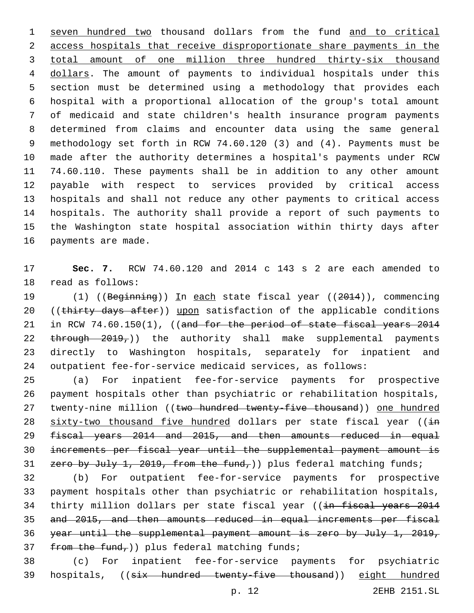seven hundred two thousand dollars from the fund and to critical access hospitals that receive disproportionate share payments in the total amount of one million three hundred thirty-six thousand dollars. The amount of payments to individual hospitals under this section must be determined using a methodology that provides each hospital with a proportional allocation of the group's total amount of medicaid and state children's health insurance program payments determined from claims and encounter data using the same general methodology set forth in RCW 74.60.120 (3) and (4). Payments must be made after the authority determines a hospital's payments under RCW 74.60.110. These payments shall be in addition to any other amount payable with respect to services provided by critical access hospitals and shall not reduce any other payments to critical access hospitals. The authority shall provide a report of such payments to the Washington state hospital association within thirty days after 16 payments are made.

 **Sec. 7.** RCW 74.60.120 and 2014 c 143 s 2 are each amended to 18 read as follows:

19 (1) ((Beginning)) In each state fiscal year ((2014)), commencing 20 ((thirty days after)) upon satisfaction of the applicable conditions 21 in RCW 74.60.150(1), ((and for the period of state fiscal years 2014 22 through 2019,)) the authority shall make supplemental payments directly to Washington hospitals, separately for inpatient and outpatient fee-for-service medicaid services, as follows:

 (a) For inpatient fee-for-service payments for prospective payment hospitals other than psychiatric or rehabilitation hospitals, 27 twenty-nine million ((two hundred twenty-five thousand)) one hundred 28 sixty-two thousand five hundred dollars per state fiscal year ((in fiscal years 2014 and 2015, and then amounts reduced in equal increments per fiscal year until the supplemental payment amount is 31 zero by July 1, 2019, from the fund,)) plus federal matching funds;

 (b) For outpatient fee-for-service payments for prospective payment hospitals other than psychiatric or rehabilitation hospitals, 34 thirty million dollars per state fiscal year ((in fiscal years 2014 and 2015, and then amounts reduced in equal increments per fiscal year until the supplemental payment amount is zero by July 1, 2019,  $f$  from the fund,)) plus federal matching funds;

 (c) For inpatient fee-for-service payments for psychiatric hospitals, ((six hundred twenty-five thousand)) eight hundred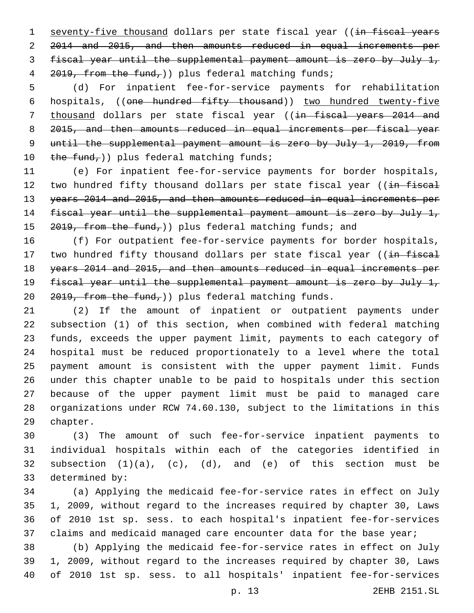1 seventy-five thousand dollars per state fiscal year ((in fiscal years 2014 and 2015, and then amounts reduced in equal increments per fiscal year until the supplemental payment amount is zero by July 1, 4 2019, from the fund, ) plus federal matching funds;

 (d) For inpatient fee-for-service payments for rehabilitation hospitals, ((one hundred fifty thousand)) two hundred twenty-five 7 thousand dollars per state fiscal year ((in fiscal years 2014 and 8 2015, and then amounts reduced in equal increments per fiscal year until the supplemental payment amount is zero by July 1, 2019, from  $the fund$ ;)) plus federal matching funds;

 (e) For inpatient fee-for-service payments for border hospitals, 12 two hundred fifty thousand dollars per state fiscal year ((in fiscal years 2014 and 2015, and then amounts reduced in equal increments per 14 fiscal year until the supplemental payment amount is zero by July 1, 15 , from the fund, ) plus federal matching funds; and

 (f) For outpatient fee-for-service payments for border hospitals, 17 two hundred fifty thousand dollars per state fiscal year ((in fiscal years 2014 and 2015, and then amounts reduced in equal increments per fiscal year until the supplemental payment amount is zero by July 1, , from the fund, ) plus federal matching funds.

 (2) If the amount of inpatient or outpatient payments under subsection (1) of this section, when combined with federal matching funds, exceeds the upper payment limit, payments to each category of hospital must be reduced proportionately to a level where the total payment amount is consistent with the upper payment limit. Funds under this chapter unable to be paid to hospitals under this section because of the upper payment limit must be paid to managed care organizations under RCW 74.60.130, subject to the limitations in this 29 chapter.

 (3) The amount of such fee-for-service inpatient payments to individual hospitals within each of the categories identified in 32 subsection  $(1)(a)$ ,  $(c)$ ,  $(d)$ , and  $(e)$  of this section must be 33 determined by:

 (a) Applying the medicaid fee-for-service rates in effect on July 1, 2009, without regard to the increases required by chapter 30, Laws of 2010 1st sp. sess. to each hospital's inpatient fee-for-services 37 claims and medicaid managed care encounter data for the base year;

 (b) Applying the medicaid fee-for-service rates in effect on July 1, 2009, without regard to the increases required by chapter 30, Laws of 2010 1st sp. sess. to all hospitals' inpatient fee-for-services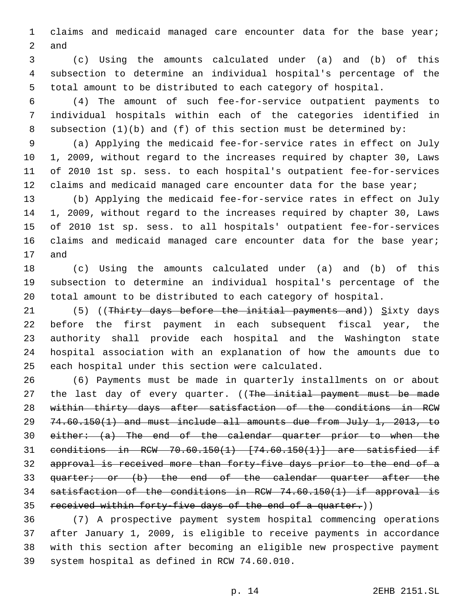claims and medicaid managed care encounter data for the base year; 2 and

 (c) Using the amounts calculated under (a) and (b) of this subsection to determine an individual hospital's percentage of the total amount to be distributed to each category of hospital.

 (4) The amount of such fee-for-service outpatient payments to individual hospitals within each of the categories identified in subsection (1)(b) and (f) of this section must be determined by:

 (a) Applying the medicaid fee-for-service rates in effect on July 1, 2009, without regard to the increases required by chapter 30, Laws of 2010 1st sp. sess. to each hospital's outpatient fee-for-services 12 claims and medicaid managed care encounter data for the base year;

 (b) Applying the medicaid fee-for-service rates in effect on July 1, 2009, without regard to the increases required by chapter 30, Laws of 2010 1st sp. sess. to all hospitals' outpatient fee-for-services 16 claims and medicaid managed care encounter data for the base year; 17 and

 (c) Using the amounts calculated under (a) and (b) of this subsection to determine an individual hospital's percentage of the total amount to be distributed to each category of hospital.

21 (5) ((Thirty days before the initial payments and))  $Sixty$  days before the first payment in each subsequent fiscal year, the authority shall provide each hospital and the Washington state hospital association with an explanation of how the amounts due to 25 each hospital under this section were calculated.

 (6) Payments must be made in quarterly installments on or about 27 the last day of every quarter. ((The initial payment must be made within thirty days after satisfaction of the conditions in RCW 74.60.150(1) and must include all amounts due from July 1, 2013, to either: (a) The end of the calendar quarter prior to when the conditions in RCW 70.60.150(1) [74.60.150(1)] are satisfied if approval is received more than forty-five days prior to the end of a quarter; or (b) the end of the calendar quarter after the satisfaction of the conditions in RCW 74.60.150(1) if approval is received within forty-five days of the end of a quarter.))

 (7) A prospective payment system hospital commencing operations after January 1, 2009, is eligible to receive payments in accordance with this section after becoming an eligible new prospective payment 39 system hospital as defined in RCW 74.60.010.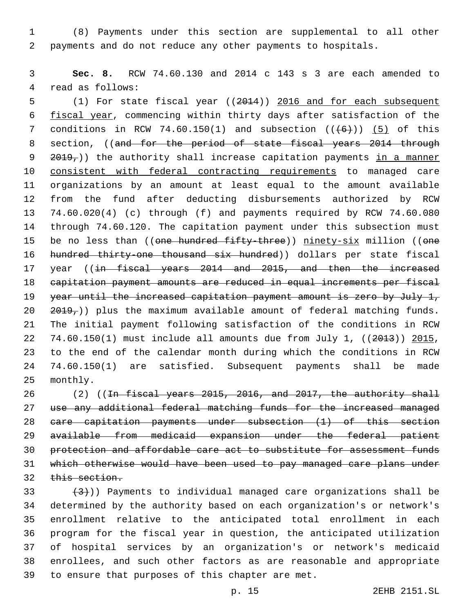(8) Payments under this section are supplemental to all other payments and do not reduce any other payments to hospitals.

 **Sec. 8.** RCW 74.60.130 and 2014 c 143 s 3 are each amended to 4 read as follows:

 (1) For state fiscal year ((2014)) 2016 and for each subsequent fiscal year, commencing within thirty days after satisfaction of the 7 conditions in RCW 74.60.150(1) and subsection  $((+6))$  (5) of this 8 section, ((and for the period of state fiscal years 2014 through 9 2019,)) the authority shall increase capitation payments in a manner consistent with federal contracting requirements to managed care organizations by an amount at least equal to the amount available from the fund after deducting disbursements authorized by RCW 74.60.020(4) (c) through (f) and payments required by RCW 74.60.080 through 74.60.120. The capitation payment under this subsection must 15 be no less than ((one hundred fifty-three)) ninety-six million ((one hundred thirty-one thousand six hundred)) dollars per state fiscal 17 year ((in fiscal years 2014 and 2015, and then the increased capitation payment amounts are reduced in equal increments per fiscal year until the increased capitation payment amount is zero by July 1,  $20 \quad 2019<sub>7</sub>)$ ) plus the maximum available amount of federal matching funds. The initial payment following satisfaction of the conditions in RCW 74.60.150(1) must include all amounts due from July 1, ((2013)) 2015, to the end of the calendar month during which the conditions in RCW 74.60.150(1) are satisfied. Subsequent payments shall be made 25 monthly.

26 (2) ((In fiscal years 2015, 2016, and 2017, the authority shall use any additional federal matching funds for the increased managed care capitation payments under subsection (1) of this section available from medicaid expansion under the federal patient protection and affordable care act to substitute for assessment funds which otherwise would have been used to pay managed care plans under 32 this section.

 $(3)$ ) Payments to individual managed care organizations shall be determined by the authority based on each organization's or network's enrollment relative to the anticipated total enrollment in each program for the fiscal year in question, the anticipated utilization of hospital services by an organization's or network's medicaid enrollees, and such other factors as are reasonable and appropriate 39 to ensure that purposes of this chapter are met.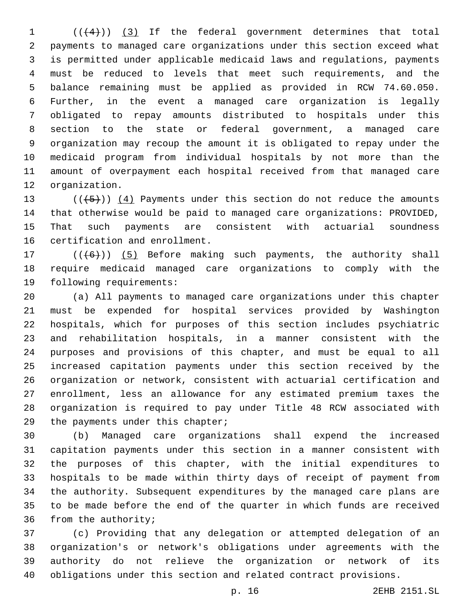(( $(4)$ )) (3) If the federal government determines that total payments to managed care organizations under this section exceed what is permitted under applicable medicaid laws and regulations, payments must be reduced to levels that meet such requirements, and the balance remaining must be applied as provided in RCW 74.60.050. Further, in the event a managed care organization is legally obligated to repay amounts distributed to hospitals under this section to the state or federal government, a managed care organization may recoup the amount it is obligated to repay under the medicaid program from individual hospitals by not more than the amount of overpayment each hospital received from that managed care 12 organization.

 $((+5+))$   $(4)$  Payments under this section do not reduce the amounts that otherwise would be paid to managed care organizations: PROVIDED, That such payments are consistent with actuarial soundness 16 certification and enrollment.

17  $((+6))$   $(5)$  Before making such payments, the authority shall require medicaid managed care organizations to comply with the 19 following requirements:

 (a) All payments to managed care organizations under this chapter must be expended for hospital services provided by Washington hospitals, which for purposes of this section includes psychiatric and rehabilitation hospitals, in a manner consistent with the purposes and provisions of this chapter, and must be equal to all increased capitation payments under this section received by the organization or network, consistent with actuarial certification and enrollment, less an allowance for any estimated premium taxes the organization is required to pay under Title 48 RCW associated with 29 the payments under this chapter;

 (b) Managed care organizations shall expend the increased capitation payments under this section in a manner consistent with the purposes of this chapter, with the initial expenditures to hospitals to be made within thirty days of receipt of payment from the authority. Subsequent expenditures by the managed care plans are to be made before the end of the quarter in which funds are received 36 from the authority;

 (c) Providing that any delegation or attempted delegation of an organization's or network's obligations under agreements with the authority do not relieve the organization or network of its obligations under this section and related contract provisions.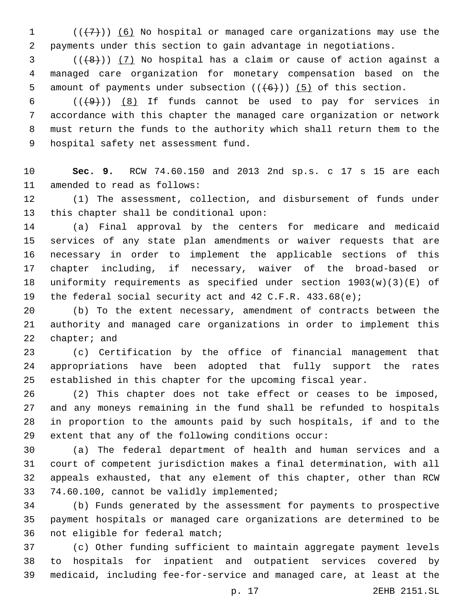1  $((+7))$  (6) No hospital or managed care organizations may use the payments under this section to gain advantage in negotiations.

 ( $(\frac{48}{1})$   $(7)$  No hospital has a claim or cause of action against a managed care organization for monetary compensation based on the 5 amount of payments under subsection  $((+6+))$  (5) of this section.

 $((+9))$   $(8)$  If funds cannot be used to pay for services in accordance with this chapter the managed care organization or network must return the funds to the authority which shall return them to the 9 hospital safety net assessment fund.

 **Sec. 9.** RCW 74.60.150 and 2013 2nd sp.s. c 17 s 15 are each 11 amended to read as follows:

 (1) The assessment, collection, and disbursement of funds under 13 this chapter shall be conditional upon:

 (a) Final approval by the centers for medicare and medicaid services of any state plan amendments or waiver requests that are necessary in order to implement the applicable sections of this chapter including, if necessary, waiver of the broad-based or uniformity requirements as specified under section 1903(w)(3)(E) of the federal social security act and 42 C.F.R. 433.68(e);

 (b) To the extent necessary, amendment of contracts between the authority and managed care organizations in order to implement this chapter; and

 (c) Certification by the office of financial management that appropriations have been adopted that fully support the rates established in this chapter for the upcoming fiscal year.

 (2) This chapter does not take effect or ceases to be imposed, and any moneys remaining in the fund shall be refunded to hospitals in proportion to the amounts paid by such hospitals, if and to the extent that any of the following conditions occur:

 (a) The federal department of health and human services and a court of competent jurisdiction makes a final determination, with all appeals exhausted, that any element of this chapter, other than RCW 33 74.60.100, cannot be validly implemented;

 (b) Funds generated by the assessment for payments to prospective payment hospitals or managed care organizations are determined to be 36 not eligible for federal match;

 (c) Other funding sufficient to maintain aggregate payment levels to hospitals for inpatient and outpatient services covered by medicaid, including fee-for-service and managed care, at least at the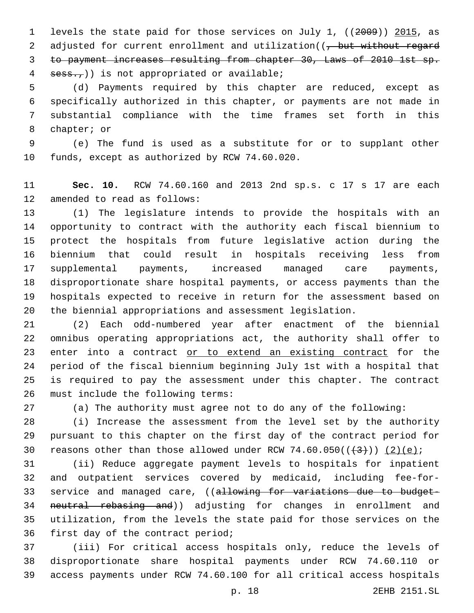levels the state paid for those services on July 1, ((2009)) 2015, as 2 adjusted for current enrollment and utilization((, but without regard to payment increases resulting from chapter 30, Laws of 2010 1st sp. sess.,)) is not appropriated or available;

 (d) Payments required by this chapter are reduced, except as specifically authorized in this chapter, or payments are not made in substantial compliance with the time frames set forth in this 8 chapter; or

 (e) The fund is used as a substitute for or to supplant other 10 funds, except as authorized by RCW 74.60.020.

 **Sec. 10.** RCW 74.60.160 and 2013 2nd sp.s. c 17 s 17 are each 12 amended to read as follows:

 (1) The legislature intends to provide the hospitals with an opportunity to contract with the authority each fiscal biennium to protect the hospitals from future legislative action during the biennium that could result in hospitals receiving less from supplemental payments, increased managed care payments, disproportionate share hospital payments, or access payments than the hospitals expected to receive in return for the assessment based on the biennial appropriations and assessment legislation.

 (2) Each odd-numbered year after enactment of the biennial omnibus operating appropriations act, the authority shall offer to 23 enter into a contract or to extend an existing contract for the period of the fiscal biennium beginning July 1st with a hospital that is required to pay the assessment under this chapter. The contract 26 must include the following terms:

(a) The authority must agree not to do any of the following:

 (i) Increase the assessment from the level set by the authority pursuant to this chapter on the first day of the contract period for 30 reasons other than those allowed under RCW 74.60.050( $(\frac{43}{})$ ) (2)(e);

 (ii) Reduce aggregate payment levels to hospitals for inpatient and outpatient services covered by medicaid, including fee-for-33 service and managed care, ((allowing for variations due to budget-34 neutral rebasing and)) adjusting for changes in enrollment and utilization, from the levels the state paid for those services on the first day of the contract period;

 (iii) For critical access hospitals only, reduce the levels of disproportionate share hospital payments under RCW 74.60.110 or access payments under RCW 74.60.100 for all critical access hospitals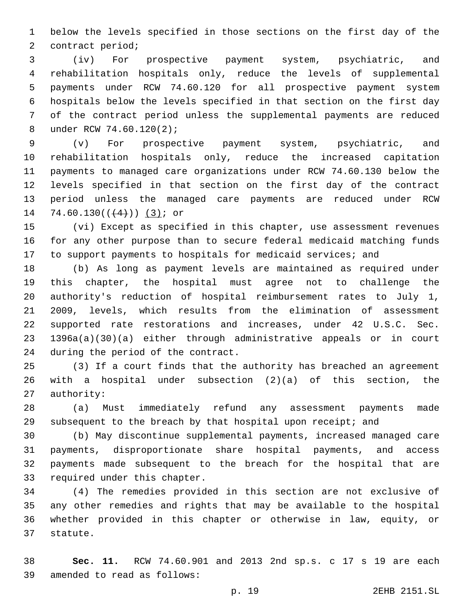below the levels specified in those sections on the first day of the 2 contract period;

 (iv) For prospective payment system, psychiatric, and rehabilitation hospitals only, reduce the levels of supplemental payments under RCW 74.60.120 for all prospective payment system hospitals below the levels specified in that section on the first day of the contract period unless the supplemental payments are reduced 8 under RCW 74.60.120(2);

 (v) For prospective payment system, psychiatric, and rehabilitation hospitals only, reduce the increased capitation payments to managed care organizations under RCW 74.60.130 below the levels specified in that section on the first day of the contract period unless the managed care payments are reduced under RCW 14 74.60.130( $($ 4 $)$ )  $(3)$ ; or

 (vi) Except as specified in this chapter, use assessment revenues for any other purpose than to secure federal medicaid matching funds 17 to support payments to hospitals for medicaid services; and

 (b) As long as payment levels are maintained as required under this chapter, the hospital must agree not to challenge the authority's reduction of hospital reimbursement rates to July 1, 2009, levels, which results from the elimination of assessment supported rate restorations and increases, under 42 U.S.C. Sec. 1396a(a)(30)(a) either through administrative appeals or in court 24 during the period of the contract.

 (3) If a court finds that the authority has breached an agreement with a hospital under subsection (2)(a) of this section, the 27 authority:

 (a) Must immediately refund any assessment payments made subsequent to the breach by that hospital upon receipt; and

 (b) May discontinue supplemental payments, increased managed care payments, disproportionate share hospital payments, and access payments made subsequent to the breach for the hospital that are 33 required under this chapter.

 (4) The remedies provided in this section are not exclusive of any other remedies and rights that may be available to the hospital whether provided in this chapter or otherwise in law, equity, or 37 statute.

 **Sec. 11.** RCW 74.60.901 and 2013 2nd sp.s. c 17 s 19 are each 39 amended to read as follows: